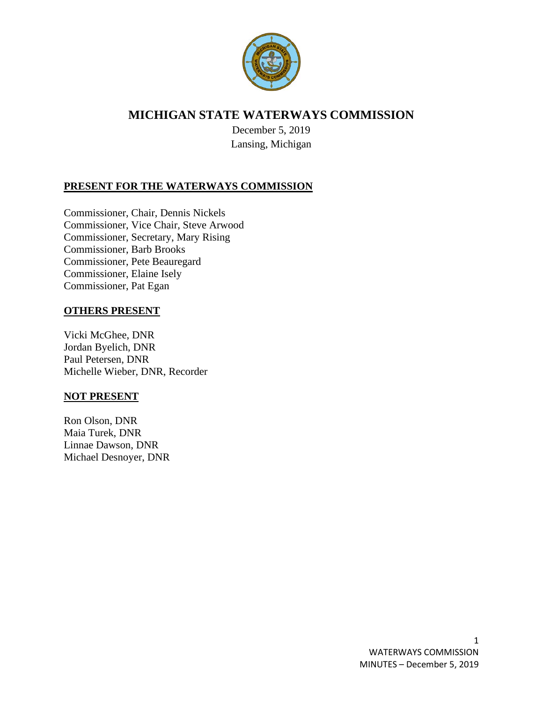

# **MICHIGAN STATE WATERWAYS COMMISSION**

December 5, 2019 Lansing, Michigan

# **PRESENT FOR THE WATERWAYS COMMISSION**

Commissioner, Chair, Dennis Nickels Commissioner, Vice Chair, Steve Arwood Commissioner, Secretary, Mary Rising Commissioner, Barb Brooks Commissioner, Pete Beauregard Commissioner, Elaine Isely Commissioner, Pat Egan

# **OTHERS PRESENT**

Vicki McGhee, DNR Jordan Byelich, DNR Paul Petersen, DNR Michelle Wieber, DNR, Recorder

### **NOT PRESENT**

Ron Olson, DNR Maia Turek, DNR Linnae Dawson, DNR Michael Desnoyer, DNR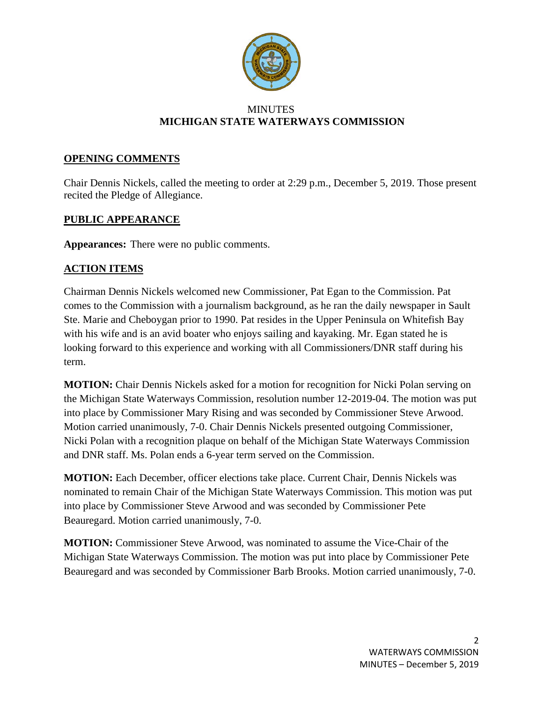

### **MINUTES MICHIGAN STATE WATERWAYS COMMISSION**

### **OPENING COMMENTS**

Chair Dennis Nickels, called the meeting to order at 2:29 p.m., December 5, 2019. Those present recited the Pledge of Allegiance.

# **PUBLIC APPEARANCE**

**Appearances:** There were no public comments.

# **ACTION ITEMS**

Chairman Dennis Nickels welcomed new Commissioner, Pat Egan to the Commission. Pat comes to the Commission with a journalism background, as he ran the daily newspaper in Sault Ste. Marie and Cheboygan prior to 1990. Pat resides in the Upper Peninsula on Whitefish Bay with his wife and is an avid boater who enjoys sailing and kayaking. Mr. Egan stated he is looking forward to this experience and working with all Commissioners/DNR staff during his term.

**MOTION:** Chair Dennis Nickels asked for a motion for recognition for Nicki Polan serving on the Michigan State Waterways Commission, resolution number 12-2019-04. The motion was put into place by Commissioner Mary Rising and was seconded by Commissioner Steve Arwood. Motion carried unanimously, 7-0. Chair Dennis Nickels presented outgoing Commissioner, Nicki Polan with a recognition plaque on behalf of the Michigan State Waterways Commission and DNR staff. Ms. Polan ends a 6-year term served on the Commission.

**MOTION:** Each December, officer elections take place. Current Chair, Dennis Nickels was nominated to remain Chair of the Michigan State Waterways Commission. This motion was put into place by Commissioner Steve Arwood and was seconded by Commissioner Pete Beauregard. Motion carried unanimously, 7-0.

**MOTION:** Commissioner Steve Arwood, was nominated to assume the Vice-Chair of the Michigan State Waterways Commission. The motion was put into place by Commissioner Pete Beauregard and was seconded by Commissioner Barb Brooks. Motion carried unanimously, 7-0.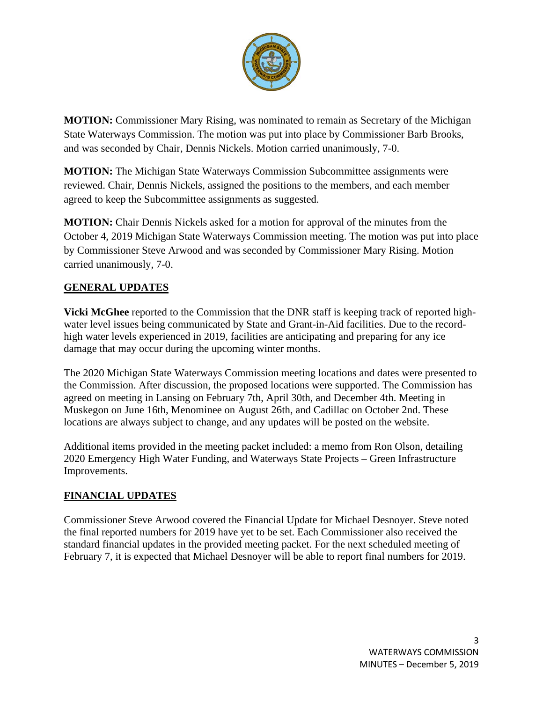

**MOTION:** Commissioner Mary Rising, was nominated to remain as Secretary of the Michigan State Waterways Commission. The motion was put into place by Commissioner Barb Brooks, and was seconded by Chair, Dennis Nickels. Motion carried unanimously, 7-0.

**MOTION:** The Michigan State Waterways Commission Subcommittee assignments were reviewed. Chair, Dennis Nickels, assigned the positions to the members, and each member agreed to keep the Subcommittee assignments as suggested.

**MOTION:** Chair Dennis Nickels asked for a motion for approval of the minutes from the October 4, 2019 Michigan State Waterways Commission meeting. The motion was put into place by Commissioner Steve Arwood and was seconded by Commissioner Mary Rising. Motion carried unanimously, 7-0.

# **GENERAL UPDATES**

**Vicki McGhee** reported to the Commission that the DNR staff is keeping track of reported highwater level issues being communicated by State and Grant-in-Aid facilities. Due to the recordhigh water levels experienced in 2019, facilities are anticipating and preparing for any ice damage that may occur during the upcoming winter months.

The 2020 Michigan State Waterways Commission meeting locations and dates were presented to the Commission. After discussion, the proposed locations were supported. The Commission has agreed on meeting in Lansing on February 7th, April 30th, and December 4th. Meeting in Muskegon on June 16th, Menominee on August 26th, and Cadillac on October 2nd. These locations are always subject to change, and any updates will be posted on the website.

Additional items provided in the meeting packet included: a memo from Ron Olson, detailing 2020 Emergency High Water Funding, and Waterways State Projects – Green Infrastructure Improvements.

# **FINANCIAL UPDATES**

Commissioner Steve Arwood covered the Financial Update for Michael Desnoyer. Steve noted the final reported numbers for 2019 have yet to be set. Each Commissioner also received the standard financial updates in the provided meeting packet. For the next scheduled meeting of February 7, it is expected that Michael Desnoyer will be able to report final numbers for 2019.